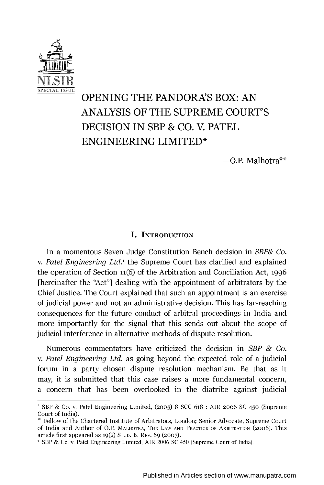

# **OPENING** THE **PANDORA'S** BOX: **AN ANALYSIS** OF THE **SUPREME COURT'S DECISION IN** SBP **& CO.** V. PATEL **ENGINEERING** LIMITED\*

 $-$ O.P. Malhotra $**$ 

### **I. INTRODUCTION**

In a momentous Seven Judge Constitution Bench decision in *SBP& Co.* v. *Patel Engineering Ltd.,* the Supreme Court has clarified and explained the operation of Section **11(6)** of the Arbitration and Conciliation Act, **1996** [hereinafter the "Act"] dealing with the appointment of arbitrators **by** the Chief Justice. The Court explained that such an appointment is an exercise of judicial power and not an administrative decision. This has far-reaching consequences for the future conduct of arbitral proceedings in India and more importantly for the signal that this sends out about the scope of judicial interference in alternative methods of dispute resolution.

Numerous commentators have criticized the decision in *SBP & Co.* v. *Patel Engineering Ltd.* as going beyond the expected role of a judicial forum in a party chosen dispute resolution mechanism. Be that as it may, it is submitted that this case raises a more fundamental concern, a concern that has been overlooked in the diatribe against judicial

**<sup>\*</sup>** SBP **&** Co. v. Patel Engineering Limited, **(2005) 8 SCC 618 :** AIR 2oo6 **SC** 450 (Supreme Court of India).

<sup>&</sup>quot; Fellow of the Chartered Institute of Arbitrators, London; Senior Advocate, Supreme Court of India and Author of O.P. MALHOTRA, THE LAW **AND PRACTICE** OF ARBITRATION (2006). This article first appeared as **19(2) STUD.** B. **REV. 69 (2007).**

**<sup>1</sup>** SBP **&** Co. v. Patel Engineering Limited, AIR **2006 SC** 450 (Supreme Court of India).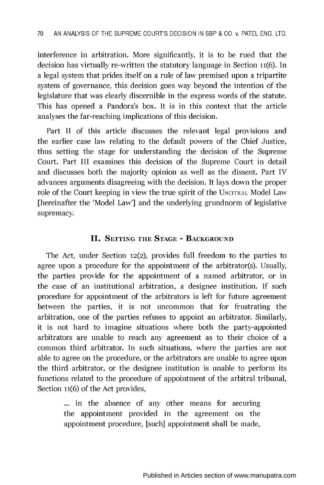interference in arbitration. More significantly, it is to be rued that the decision has virtually re-written the statutory language in Section **11(6).** In a legal system that prides itself on a rule of law premised upon a tripartite system of governance, this decision goes way beyond the intention of the legislature that was clearly discernible in the express words of the statute. This has opened a Pandora's box. It is in this context that the article analyses the far-reaching implications of this decision.

Part II of this article discusses the relevant legal provisions and the earlier case law relating to the default powers of the Chief Justice, thus setting the stage for understanding the decision of the Supreme Court. Part **III** examines this decision of the Supreme Court in detail and discusses both the majority opinion as well as the dissent. Part IV advances arguments disagreeing with the decision. It lays down the proper role of the Court keeping in view the true spirit of the **UNCITRAL** Model Law [hereinafter the 'Model Law'] and the underlying grundnorm of legislative supremacy.

### **II. SETTING THE STAGE - BACKGROUND**

The Act, under Section **12(2),** provides full freedom to the parties to agree upon a procedure for the appointment of the arbitrator(s). Usually, the parties provide for the appointment of a named arbitrator, or in the case of an institutional arbitration, a designee institution. **If** such procedure for appointment of the arbitrators is left for future agreement between the parties, it is not uncommon that for frustrating the arbitration, one of the parties refuses to appoint an arbitrator. Similarly, it is not hard to imagine situations where both the party-appointed arbitrators are unable to reach any agreement as to their choice of a common third arbitrator. In such situations, where the parties are not able to agree on the procedure, or the arbitrators are unable to agree upon the third arbitrator, or the designee institution is unable to perform its functions related to the procedure of appointment of the arbitral tribunal, Section **11(6)** of the Act provides,

> **...** in the absence of any other means for securing the appointment provided in the agreement on the appointment procedure, [such] appointment shall be made,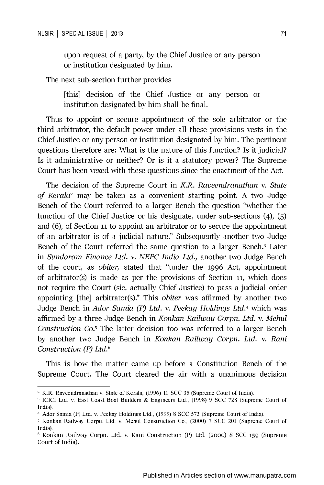upon request of a party, **by** the Chief Justice or any person or institution designated **by** him.

The next sub-section further provides

[this] decision of the Chief Justice or any person or institution designated **by** him shall be final.

Thus to appoint or secure appointment of the sole arbitrator or the third arbitrator, the default power under all these provisions vests in the Chief Justice or any person or institution designated **by** him. The pertinent questions therefore are: What is the nature of this function? Is it judicial? Is it administrative or neither? Or is it a statutory power? The Supreme Court has been vexed with these questions since the enactment of the Act.

The decision of the Supreme Court in *K.R. Raveendranathan v. State of Kerala2* may be taken as a convenient starting point. **A** two Judge Bench of the Court referred to a larger Bench the question "whether the function of the Chief Justice or his designate, under sub-sections (4), **(5)** and **(6),** of Section **11** to appoint an arbitrator or to secure the appointment of an arbitrator is of a judicial nature." Subsequently another two Judge Bench of the Court referred the same question to a larger Bench.3 Later in *Sundaram Finance Ltd. v. NEPC India Ltd.,* another two Judge Bench of the court, as *obiter,* stated that "under the **1996** Act, appointment of arbitrator(s) is made as per the provisions of Section **11,** which does not require the Court (sic, actually Chief Justice) to pass a judicial order appointing [the] arbitrator(s)." This *obiter* was affirmed **by** another two Judge Bench in *Ador Samia (P) Ltd. v. Peekay Holdings Ltd.4* which was affirmed **by** a three Judge Bench in *Konkan Railway Corpn. Ltd. v. Mehul Construction Co. <sup>5</sup>*The latter decision too was referred to a larger Bench **by** another two Judge Bench in *Konkan Railway Corpn. Ltd. v. Rani Construction (P) Ltd.6*

This is how the matter came up before a Constitution Bench of the Supreme Court. The Court cleared the air with a unanimous decision

<sup>2</sup> K.R. Raveendranathan v. State of Kerala, **(1996) 10 SCC 35** (Supreme Court of India).

**<sup>3</sup> ICICI** Ltd. v. East Coast Boat Builders **&** Engineers Ltd., **(1998) 9 SCC 728** (Supreme Court of India).

<sup>4</sup> Ador Samia (P) Ltd. v. Peekay Holdings Ltd., **(1999) 8 SCC 572** (Supreme Court of India).

**<sup>5</sup>**Konkan Railway Corpn. Ltd. v. Mehul Construction Co., (2000) **7 SCC** 201 (Supreme Court of India).

**<sup>6</sup>**Konkan Railway Corpn. Ltd. v. Rani Construction (P) Ltd. **(2000) 8 SCC 159** (Supreme Court of India).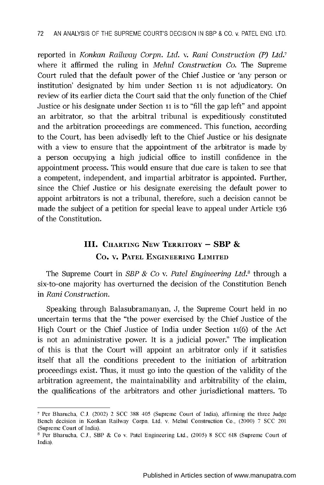reported in *Konkan Railway Corpn. Ltd. v. Rani Construction (P) Ltd.7* where it affirmed the ruling in *Mehul Construction Co.* The Supreme Court ruled that the default power of the Chief Justice or 'any person or institution' designated **by** him under Section **11** is not adjudicatory. On review of its earlier dicta the Court said that the only function of the Chief Justice or his designate under Section **11** is to **"fill** the gap left" and appoint an arbitrator, so that the arbitral tribunal is expeditiously constituted and the arbitration proceedings are commenced. This function, according to the Court, has been advisedly left to the Chief Justice or his designate with a view to ensure that the appointment of the arbitrator is made **by** a person occupying a high judicial office to instill confidence in the appointment process. This would ensure that due care is taken to see that a competent, independent, and impartial arbitrator is appointed. Further, since the Chief Justice or his designate exercising the default power to appoint arbitrators is not a tribunal, therefore, such a decision cannot be made the subject of a petition for special leave to appeal under Article **<sup>136</sup>** of the Constitution.

## **111. CHARTING NEw TERRITORY - SBP & Co. v. PATEL ENGINEERING LIMITED**

**The Supreme Court in** *SBP & Co v. Patel Engineering Ltd."* through **a** six-to-one majority has overturned the decision of the Constitution Bench in *Rani Construction.*

Speaking through Balasubramanyan, **J,** the Supreme Court held in no uncertain terms that the "the power exercised **by** the Chief Justice of the High Court or the Chief Justice of India under Section **11(6)** of the Act is not an administrative power. It is a judicial power." The implication of this is that the Court will appoint an arbitrator only if it satisfies itself that all the conditions precedent to the initiation of arbitration proceedings exist. Thus, it must go into the question of the validity of the arbitration agreement, the maintainability and arbitrability of the claim, the qualifications of the arbitrators and other jurisdictional matters. To

**<sup>7</sup>** Per Bharucha, **C.J.** (2002) 2 **SCC 388** 405 (Supreme Court of India), affirming the three Judge Bench decision in Konkan Railway Corpn. Ltd. v. Mehul Construction Co., (2000) **7 SCC** 201 (Supreme Court of India).

**I** Per Bharucha, **C.J.,** SBP **&** Co v. Patel Engineering Ltd., **(2005) 8 SCC 618** (Supreme Court of India).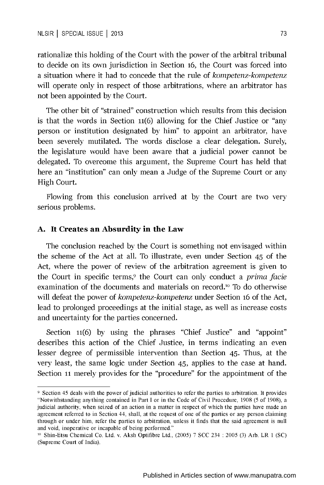rationalize this holding of the Court with the power of the arbitral tribunal to decide on its own jurisdiction in Section **16,** the Court was forced into a situation where it had to concede that the rule of *kompetenz-kompetenz* will operate only in respect of those arbitrations, where an arbitrator has not been appointed **by** the Court.

The other bit of "strained" construction which results from this decision is that the words in Section **11(6)** allowing for the Chief Justice or "any person or institution designated **by** him" to appoint an arbitrator, have been severely mutilated. The words disclose a clear delegation. Surely, the legislature would have been aware that a judicial power cannot be delegated. To overcome this argument, the Supreme Court has held that here an "institution" can only mean a Judge of the Supreme Court or any High Court.

Flowing from this conclusion arrived at **by** the Court are two very serious problems.

#### **A. It Creates an Absurdity in the Law**

The conclusion reached **by** the Court is something not envisaged within the scheme of the Act at all. To illustrate, even under Section 45 of the Act, where the power of review of the arbitration agreement is given to the Court in specific terms,<sup>9</sup> the Court can only conduct a *prima facie* examination of the documents and materials on record.<sup>10</sup> To do otherwise will defeat the power of *kompetenz-kompetenz* under Section **16** of the Act, lead to prolonged proceedings at the initial stage, as well as increase costs and uncertainty for the parties concerned.

Section **11(6) by** using the phrases "Chief Justice" and "appoint" describes this action of the Chief Justice, in terms indicating an even lesser degree of permissible intervention than Section 45. Thus, at the very least, the same logic under Section 45, applies to the case at hand. Section **11** merely provides for the "procedure" for the appointment of the

**<sup>9</sup>** Section 45 deals with the power of judicial authorities to refer the parties to arbitration. It provides "Notwithstanding anything contained in Part **I** or in the Code of Civil Procedure, **1908 (5** of **1908),** a judicial authority, when seized of an action in a matter in respect of which the parties have made an agreement referred to in Section 44, shall, at the request of one of the parties or any person claiming through or under him, refer the parties to arbitration, unless it finds that the said agreement is null and void, inoperative or incapable of being performed."

**<sup>10</sup>** Shin-Etsu Chemical Co. Ltd. v. Aksh Optifibre Ltd., **(2005) 7 SCC** 234 **: 2005 (3)** Arb. LR 1 **(SC)** (Supreme Court of India).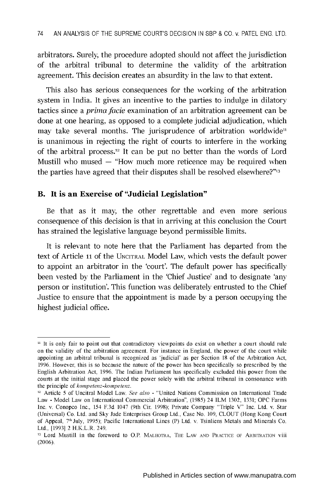arbitrators. Surely, the procedure adopted should not affect the jurisdiction of the arbitral tribunal to determine the validity of the arbitration agreement. This decision creates an absurdity in the law to that extent.

This also has serious consequences for the working of the arbitration system in India. It gives an incentive to the parties to indulge in dilatory tactics since a *prima facie* examination of an arbitration agreement can be done at one hearing, as opposed to a complete judicial adjudication, which may take several months. The jurisprudence of arbitration worldwide<sup>11</sup> is unanimous in rejecting the right of courts to interfere in the working of the arbitral process. 12 It can be put no better than the words of Lord Mustill who mused **-** "How much more reticence may be required when the parties have agreed that their disputes shall be resolved elsewhere?"<sup>13</sup>

### B. It is **an Exercise of "Judicial Legislation"**

Be that as it may, the other regrettable and even more serious consequence of this decision is that in arriving at this conclusion the Court has strained the legislative language beyond permissible limits.

It is relevant to note here that the Parliament has departed from the text of Article **11** of the **UNCITRAL** Model Law, which vests the default power to appoint an arbitrator in the 'court'. The default power has specifically been vested **by** the Parliament in the 'Chief Justice' and to designate 'any person or institution'. This function was deliberately entrusted to the Chief Justice to ensure that the appointment is made **by** a person occupying the highest judicial office.

<sup>&</sup>lt;sup>11</sup> It is only fair to point out that contradictory viewpoints do exist on whether a court should rule on the validity of the arbitration agreement. For instance in England, the power of the court while appointing an arbitral tribunal is recognized as 'judicial' as per Section **18** of the Arbitration Act, **1996.** However, this is so because the nature of the power has been specifically so prescribed **by** the English Arbitration Act, **1996.** The Indian Parliament has specifically excluded this power from the courts at the initial stage and placed the power solely with the arbitral tribunal in consonance with the principle of *kompetenz-kompetenz.*

**<sup>12</sup>** Article **5** of Uncitral Model Law. *See also* **-** "United Nations Commission on International Trade Law **-** Model Law on International Commercial Arbitration", **(1985)** 24 ILM **1302, 1331; OPC** Farms Inc. v. Conopco Inc., 154 **F.3d** 1047 (9th Cir. **1998);** Private Company "Triple V" Inc. Ltd. v. Star (Universal) Co. Ltd. and **Sky** Jade Enterprises Group Ltd., Case No. **109, CLOUT** (Hong Kong Court of Appeal, **7th** July, **1995);** Pacific International Lines (P) Ltd. v. Tsinliens Metals and Minerals Co. Ltd., **[1993]** 2 H.K.L.R. 249.

**<sup>3</sup>** Lord Mustill in the foreword to O.P. MALHOTRA, THE LAW **AND** PRACTICE OF ARBITRATION Viii **(2006).**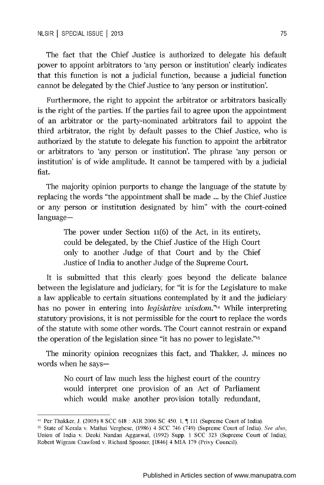The fact that the Chief Justice is authorized to delegate his default power to appoint arbitrators to 'any person or institution' clearly indicates that this function is not a judicial function, because a judicial function cannot be delegated **by** the Chief Justice to 'any person or institution'.

Furthermore, the right to appoint the arbitrator or arbitrators basically is the right of the parties. **If** the parties fail to agree upon the appointment of an arbitrator or the party-nominated arbitrators fail to appoint the third arbitrator, the right **by** default passes to the Chief Justice, who is authorized **by** the statute to delegate his function to appoint the arbitrator or arbitrators to 'any person or institution'. The phrase 'any person or institution' is of wide amplitude. It cannot be tampered with **by** a judicial fiat.

The majority opinion purports to change the language of the statute **by** replacing the words "the appointment shall be made **... by** the Chief Justice or any person or institution designated **by** him" with the court-coined language-

> The power under Section **11(6)** of the Act, in its entirety, could be delegated, **by** the Chief Justice of the High Court only to another Judge of that Court and **by** the Chief Justice of India to another Judge of the Supreme Court.

It is submitted that this clearly goes beyond the delicate balance between the legislature and judiciary, for "it is for the Legislature to make a law applicable to certain situations contemplated **by** it and the judiciary has no power in entering into *legislative wisdom.'14* While interpreting statutory provisions, it is not permissible for the court to replace the words of the statute with some other words. The Court cannot restrain or expand the operation of the legislation since "it has no power to legislate."15

The minority opinion recognizes this fact, and Thakker, **J.** minces no words when he says-

> No court of law much less the highest court of the country would interpret one provision of an Act of Parliament which would make another provision totally redundant,

<sup>14</sup> Per Thakker, **J. (2005) 8 SCC 618 :** AIR **2006 SC** 450. **1,** 111 (Supreme Court of India).

**<sup>5</sup>**State of Kerala v. Mathai Verghese, **(1986)** 4 **SCC** 746 (749) (Supreme Court of India). See also, Union of India v. Deoki Nandan Aggarwal, **(1992)** Supp. 1 **SCC 323** (Supreme Court of India); Robert Wigram Crawford v. Richard Spooner, [1846] 4 MIA **179** (Privy Council).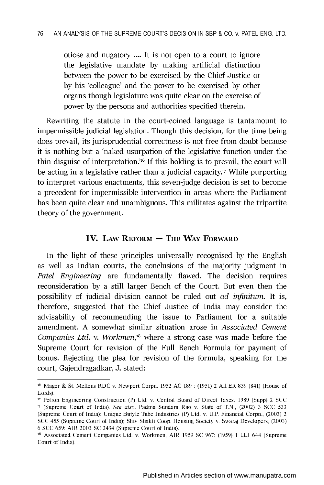otiose and nugatory **....** It is not open to a court to ignore the legislative mandate **by** making artificial distinction between the power to be exercised **by** the Chief Justice or **by** his 'colleague' and the power to be exercised **by** other organs though legislature was quite clear on the exercise of power **by** the persons and authorities specified therein.

Rewriting the statute in the court-coined language is tantamount to impermissible judicial legislation. Though this decision, for the time being does prevail, its jurisprudential correctness is not free from doubt because it is nothing but a 'naked usurpation of the legislative function under the thin disguise of interpretation.<sup>216</sup> If this holding is to prevail, the court will be acting in a legislative rather than a judicial capacity.17 While purporting to interpret various enactments, this seven-judge decision is set to become a precedent for impermissible intervention in areas where the Parliament has been quite clear and unambiguous. This militates against the tripartite theory of the government.

### **IV.** LAW REFORM – THE WAY FORWARD

In the light of these principles universally recognised **by** the English as well as Indian courts, the conclusions of the majority judgment in *Patel Engineering* are fundamentally flawed. The decision requires reconsideration **by** a still larger Bench of the Court. But even then the possibility of judicial division cannot be ruled out *ad infinitum.* It is, therefore, suggested that the Chief Justice of India may consider the advisability of recommending the issue to Parliament for a suitable amendment. **A** somewhat similar situation arose in *Associated Cement Companies Ltd. v. Workmen,,"* where a strong case was made before the Supreme Court for revision of the Full Bench Formula for payment of bonus. Rejecting the plea for revision of the formula, speaking for the court, Gajendragadkar, **J.** stated:

**<sup>16</sup>** Magor **&** St. Mellons RDC v. Newport Corpn. **1952 AC 189 : (1951)** 2 **All** ER **839** (841) (House of Lords).

**<sup>17</sup>** Petron Engineering Construction (P) Ltd. v. Central Board of Direct Taxes, **1989** (Supp) 2 **SCC 7** (Supreme Court of India). See also, Padma Sundara Rao v. State of **T.N.,** (2002) **3 SCC 533** (Supreme Court of India); Unique Butyle Tube Industries (P) Ltd. v. **U.P.** Financial Corpn., **(2003)** 2 **SCC** 455 (Supreme Court of India); Shiv Shakti Coop. Housing Society v. Swaraj Developers, **(2003) 6 SCC 659:** AIR **2003 SC** 2434 (Supreme Court of India).

is Associated Cement Companies Ltd. v. Workmen, AIR **1959 SC 967: (1959) 1 LLJ** 644 (Supreme Court of India).